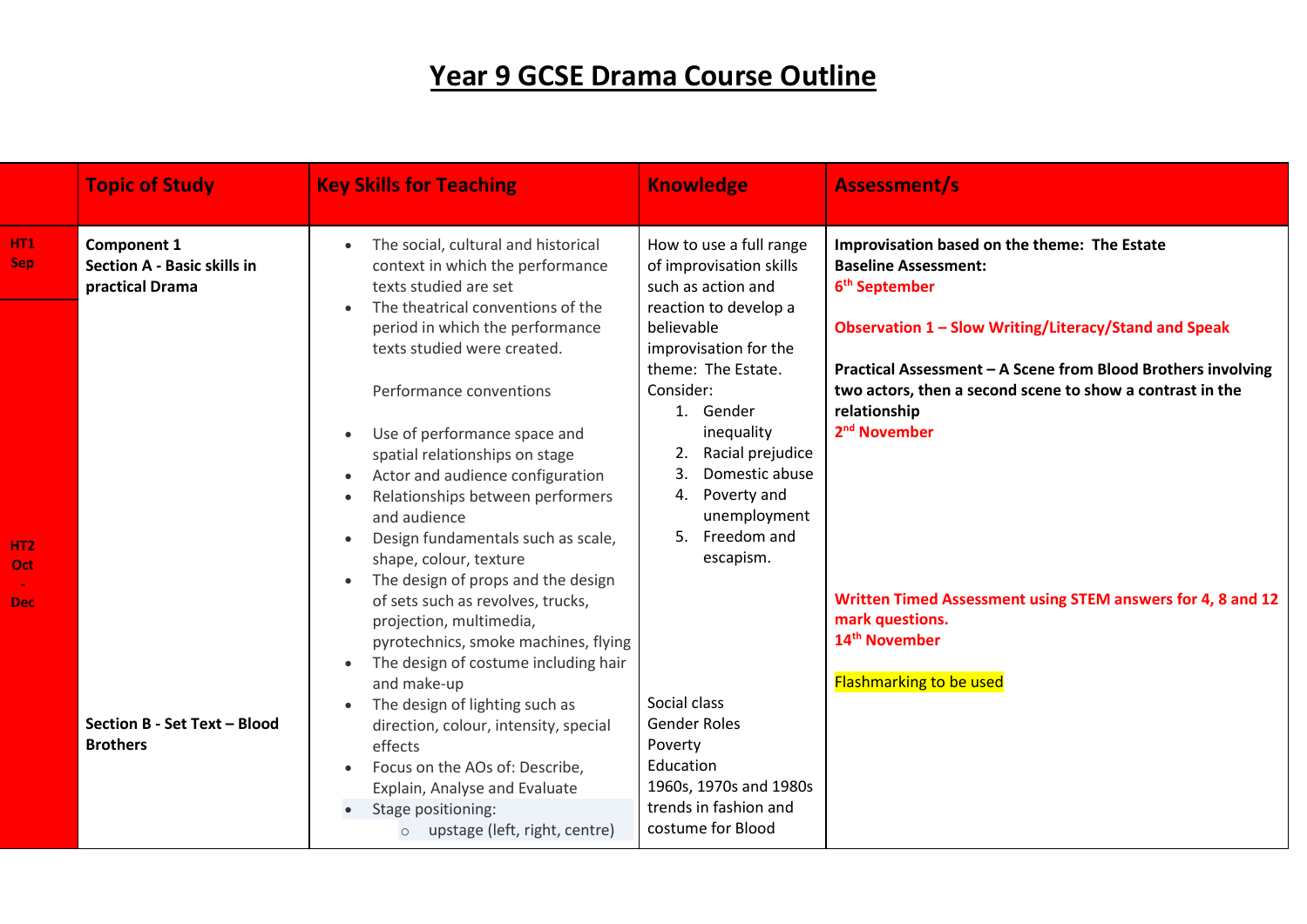## **Year 9 GCSE Drama Course Outline**

|                                       | <b>Topic of Study</b>                                                       | <b>Key Skills for Teaching</b>                                                                                                                                                                                                                                                                                                                                                                                                                                                                                                                                                                                                                                                                                                                                                | <b>Knowledge</b>                                                                                                                                                                                                                                                                                                                                                                        | <b>Assessment/s</b>                                                                                                                                                                                                                                                                                                                                                             |
|---------------------------------------|-----------------------------------------------------------------------------|-------------------------------------------------------------------------------------------------------------------------------------------------------------------------------------------------------------------------------------------------------------------------------------------------------------------------------------------------------------------------------------------------------------------------------------------------------------------------------------------------------------------------------------------------------------------------------------------------------------------------------------------------------------------------------------------------------------------------------------------------------------------------------|-----------------------------------------------------------------------------------------------------------------------------------------------------------------------------------------------------------------------------------------------------------------------------------------------------------------------------------------------------------------------------------------|---------------------------------------------------------------------------------------------------------------------------------------------------------------------------------------------------------------------------------------------------------------------------------------------------------------------------------------------------------------------------------|
| HT1<br><b>Sep</b>                     | <b>Component 1</b><br><b>Section A - Basic skills in</b><br>practical Drama | The social, cultural and historical<br>context in which the performance<br>texts studied are set                                                                                                                                                                                                                                                                                                                                                                                                                                                                                                                                                                                                                                                                              | How to use a full range<br>of improvisation skills<br>such as action and                                                                                                                                                                                                                                                                                                                | Improvisation based on the theme: The Estate<br><b>Baseline Assessment:</b><br>6 <sup>th</sup> September                                                                                                                                                                                                                                                                        |
| HT <sub>2</sub><br><b>Oct</b><br>Dec: | Section B - Set Text - Blood<br><b>Brothers</b>                             | The theatrical conventions of the<br>period in which the performance<br>texts studied were created.<br>Performance conventions<br>Use of performance space and<br>spatial relationships on stage<br>Actor and audience configuration<br>Relationships between performers<br>and audience<br>Design fundamentals such as scale,<br>shape, colour, texture<br>The design of props and the design<br>of sets such as revolves, trucks,<br>projection, multimedia,<br>pyrotechnics, smoke machines, flying<br>The design of costume including hair<br>and make-up<br>The design of lighting such as<br>direction, colour, intensity, special<br>effects<br>Focus on the AOs of: Describe,<br>Explain, Analyse and Evaluate<br>Stage positioning:<br>upstage (left, right, centre) | reaction to develop a<br>believable<br>improvisation for the<br>theme: The Estate.<br>Consider:<br>1. Gender<br>inequality<br>Racial prejudice<br>2.<br>Domestic abuse<br>3.<br>Poverty and<br>4.<br>unemployment<br>5. Freedom and<br>escapism.<br>Social class<br><b>Gender Roles</b><br>Poverty<br>Education<br>1960s, 1970s and 1980s<br>trends in fashion and<br>costume for Blood | Observation 1 - Slow Writing/Literacy/Stand and Speak<br>Practical Assessment - A Scene from Blood Brothers involving<br>two actors, then a second scene to show a contrast in the<br>relationship<br>2 <sup>nd</sup> November<br>Written Timed Assessment using STEM answers for 4, 8 and 12<br>mark questions.<br>14 <sup>th</sup> November<br><b>Flashmarking to be used</b> |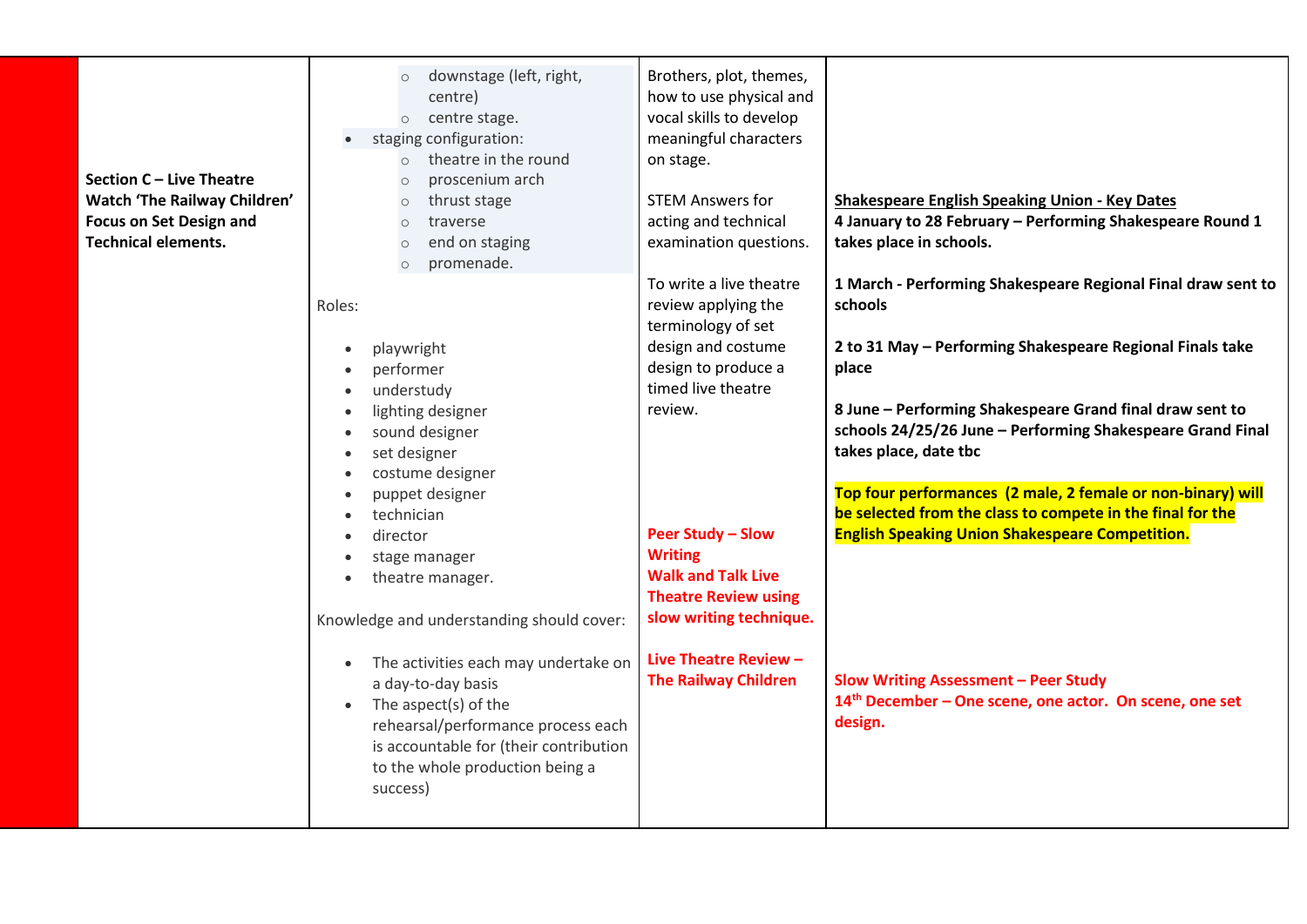|                                | downstage (left, right,<br>$\circ$                | Brothers, plot, themes,     |                                                                     |
|--------------------------------|---------------------------------------------------|-----------------------------|---------------------------------------------------------------------|
|                                | centre)                                           | how to use physical and     |                                                                     |
|                                | centre stage.<br>$\circ$                          | vocal skills to develop     |                                                                     |
|                                | staging configuration:                            | meaningful characters       |                                                                     |
|                                | theatre in the round<br>$\circ$                   | on stage.                   |                                                                     |
| Section C - Live Theatre       | proscenium arch<br>$\circ$                        |                             |                                                                     |
| Watch 'The Railway Children'   | thrust stage<br>$\circ$                           | <b>STEM Answers for</b>     | <b>Shakespeare English Speaking Union - Key Dates</b>               |
| <b>Focus on Set Design and</b> | traverse<br>$\circ$                               | acting and technical        | 4 January to 28 February - Performing Shakespeare Round 1           |
| <b>Technical elements.</b>     | end on staging<br>$\circ$                         | examination questions.      | takes place in schools.                                             |
|                                | promenade.<br>$\circ$                             |                             |                                                                     |
|                                |                                                   | To write a live theatre     | 1 March - Performing Shakespeare Regional Final draw sent to        |
|                                | Roles:                                            | review applying the         | schools                                                             |
|                                |                                                   | terminology of set          |                                                                     |
|                                | playwright<br>$\bullet$                           | design and costume          | 2 to 31 May - Performing Shakespeare Regional Finals take           |
|                                | performer                                         | design to produce a         | place                                                               |
|                                | understudy<br>$\bullet$                           | timed live theatre          |                                                                     |
|                                | lighting designer<br>$\bullet$                    | review.                     | 8 June - Performing Shakespeare Grand final draw sent to            |
|                                | sound designer                                    |                             | schools 24/25/26 June - Performing Shakespeare Grand Final          |
|                                | set designer<br>$\bullet$                         |                             | takes place, date tbc                                               |
|                                | costume designer<br>$\bullet$                     |                             |                                                                     |
|                                | puppet designer<br>$\bullet$                      |                             | Top four performances (2 male, 2 female or non-binary) will         |
|                                | technician                                        |                             | be selected from the class to compete in the final for the          |
|                                | director<br>$\bullet$                             | <b>Peer Study - Slow</b>    | <b>English Speaking Union Shakespeare Competition.</b>              |
|                                | stage manager                                     | <b>Writing</b>              |                                                                     |
|                                | theatre manager.                                  | <b>Walk and Talk Live</b>   |                                                                     |
|                                |                                                   | <b>Theatre Review using</b> |                                                                     |
|                                | Knowledge and understanding should cover:         | slow writing technique.     |                                                                     |
|                                |                                                   |                             |                                                                     |
|                                | The activities each may undertake on<br>$\bullet$ | Live Theatre Review -       |                                                                     |
|                                | a day-to-day basis                                | <b>The Railway Children</b> | <b>Slow Writing Assessment - Peer Study</b>                         |
|                                | The aspect(s) of the<br>$\bullet$                 |                             | 14 <sup>th</sup> December - One scene, one actor. On scene, one set |
|                                | rehearsal/performance process each                |                             | design.                                                             |
|                                | is accountable for (their contribution            |                             |                                                                     |
|                                | to the whole production being a                   |                             |                                                                     |
|                                | success)                                          |                             |                                                                     |
|                                |                                                   |                             |                                                                     |
|                                |                                                   |                             |                                                                     |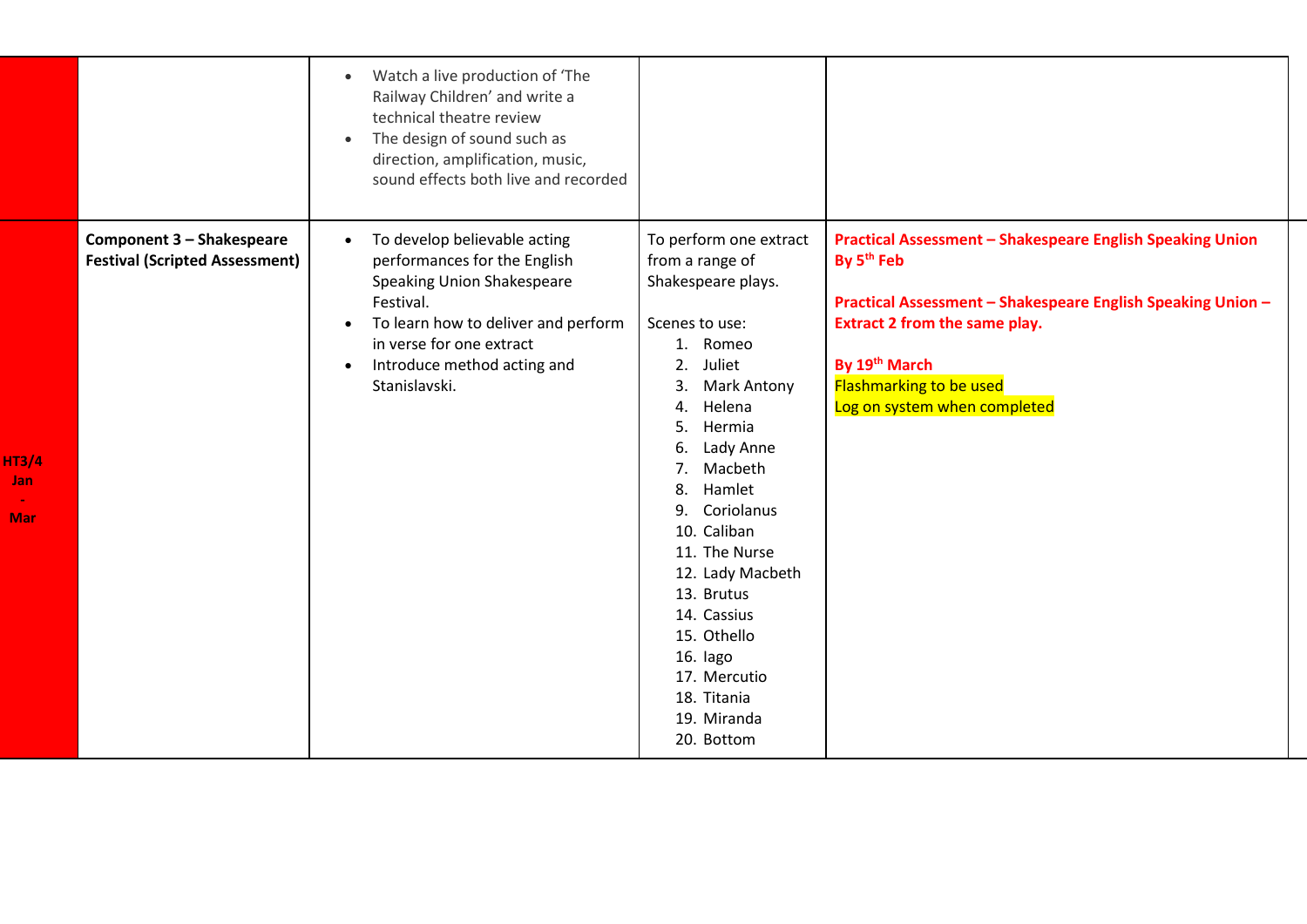|                                   |                                                                           | Watch a live production of 'The<br>$\bullet$<br>Railway Children' and write a<br>technical theatre review<br>The design of sound such as<br>direction, amplification, music,<br>sound effects both live and recorded              |                                                                                                                                                                                                                                                                                                                                                                                                                           |                                                                                                                                                                                                                                                                                      |
|-----------------------------------|---------------------------------------------------------------------------|-----------------------------------------------------------------------------------------------------------------------------------------------------------------------------------------------------------------------------------|---------------------------------------------------------------------------------------------------------------------------------------------------------------------------------------------------------------------------------------------------------------------------------------------------------------------------------------------------------------------------------------------------------------------------|--------------------------------------------------------------------------------------------------------------------------------------------------------------------------------------------------------------------------------------------------------------------------------------|
| <b>HT3/4</b><br>Jan<br><b>Mar</b> | <b>Component 3 - Shakespeare</b><br><b>Festival (Scripted Assessment)</b> | To develop believable acting<br>performances for the English<br><b>Speaking Union Shakespeare</b><br>Festival.<br>To learn how to deliver and perform<br>in verse for one extract<br>Introduce method acting and<br>Stanislavski. | To perform one extract<br>from a range of<br>Shakespeare plays.<br>Scenes to use:<br>1. Romeo<br>Juliet<br>2.<br>3.<br><b>Mark Antony</b><br>Helena<br>4.<br>Hermia<br>5.<br>Lady Anne<br>6.<br>Macbeth<br>7.<br>Hamlet<br>8.<br>Coriolanus<br>9.<br>10. Caliban<br>11. The Nurse<br>12. Lady Macbeth<br>13. Brutus<br>14. Cassius<br>15. Othello<br>16. lago<br>17. Mercutio<br>18. Titania<br>19. Miranda<br>20. Bottom | <b>Practical Assessment - Shakespeare English Speaking Union</b><br>By 5 <sup>th</sup> Feb<br>Practical Assessment - Shakespeare English Speaking Union -<br><b>Extract 2 from the same play.</b><br>By 19th March<br><b>Flashmarking to be used</b><br>Log on system when completed |

**HT3/4 Jan -**